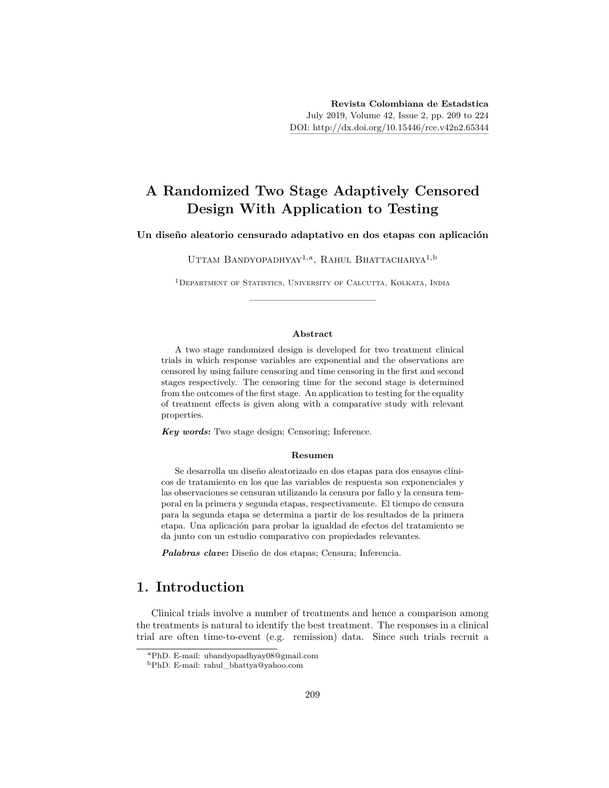# **A Randomized Two Stage Adaptively Censored Design With Application to Testing**

#### **Un diseño aleatorio censurado adaptativo en dos etapas con aplicación**

Uttam Bandyopadhyay<sup>1, a</sup>, Rahul Bhattacharya<sup>1, b</sup>

<sup>1</sup>DEPARTMENT OF STATISTICS, UNIVERSITY OF CALCUTTA, KOLKATA, INDIA

#### **Abstract**

A two stage randomized design is developed for two treatment clinical trials in which response variables are exponential and the observations are censored by using failure censoring and time censoring in the first and second stages respectively. The censoring time for the second stage is determined from the outcomes of the first stage. An application to testing for the equality of treatment effects is given along with a comparative study with relevant properties.

*Key words***:** Two stage design; Censoring; Inference.

#### **Resumen**

Se desarrolla un diseño aleatorizado en dos etapas para dos ensayos clínicos de tratamiento en los que las variables de respuesta son exponenciales y las observaciones se censuran utilizando la censura por fallo y la censura temporal en la primera y segunda etapas, respectivamente. El tiempo de censura para la segunda etapa se determina a partir de los resultados de la primera etapa. Una aplicación para probar la igualdad de efectos del tratamiento se da junto con un estudio comparativo con propiedades relevantes.

*Palabras clave***:** Diseño de dos etapas; Censura; Inferencia.

## **1. Introduction**

Clinical trials involve a number of treatments and hence a comparison among the treatments is natural to identify the best treatment. The responses in a clinical trial are often time-to-event (e.g. remission) data. Since such trials recruit a

<sup>a</sup>PhD. E-mail: ubandyopadhyay08@gmail.com

<sup>b</sup>PhD. E-mail: rahul\_bhattya@yahoo.com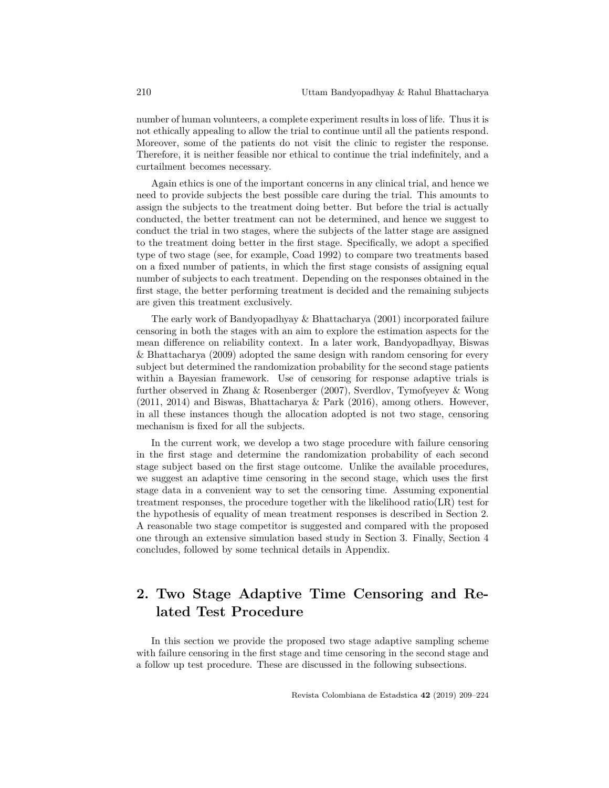number of human volunteers, a complete experiment results in loss of life. Thus it is not ethically appealing to allow the trial to continue until all the patients respond. Moreover, some of the patients do not visit the clinic to register the response. Therefore, it is neither feasible nor ethical to continue the trial indefinitely, and a curtailment becomes necessary.

Again ethics is one of the important concerns in any clinical trial, and hence we need to provide subjects the best possible care during the trial. This amounts to assign the subjects to the treatment doing better. But before the trial is actually conducted, the better treatment can not be determined, and hence we suggest to conduct the trial in two stages, where the subjects of the latter stage are assigned to the treatment doing better in the first stage. Specifically, we adopt a specified type of two stage (see, for example, Coad 1992) to compare two treatments based on a fixed number of patients, in which the first stage consists of assigning equal number of subjects to each treatment. Depending on the responses obtained in the first stage, the better performing treatment is decided and the remaining subjects are given this treatment exclusively.

The early work of Bandyopadhyay & Bhattacharya (2001) incorporated failure censoring in both the stages with an aim to explore the estimation aspects for the mean difference on reliability context. In a later work, Bandyopadhyay, Biswas & Bhattacharya (2009) adopted the same design with random censoring for every subject but determined the randomization probability for the second stage patients within a Bayesian framework. Use of censoring for response adaptive trials is further observed in Zhang & Rosenberger (2007), Sverdlov, Tymofyeyev & Wong (2011, 2014) and Biswas, Bhattacharya & Park (2016), among others. However, in all these instances though the allocation adopted is not two stage, censoring mechanism is fixed for all the subjects.

In the current work, we develop a two stage procedure with failure censoring in the first stage and determine the randomization probability of each second stage subject based on the first stage outcome. Unlike the available procedures, we suggest an adaptive time censoring in the second stage, which uses the first stage data in a convenient way to set the censoring time. Assuming exponential treatment responses, the procedure together with the likelihood ratio(LR) test for the hypothesis of equality of mean treatment responses is described in Section 2. A reasonable two stage competitor is suggested and compared with the proposed one through an extensive simulation based study in Section 3. Finally, Section 4 concludes, followed by some technical details in Appendix.

# **2. Two Stage Adaptive Time Censoring and Related Test Procedure**

In this section we provide the proposed two stage adaptive sampling scheme with failure censoring in the first stage and time censoring in the second stage and a follow up test procedure. These are discussed in the following subsections.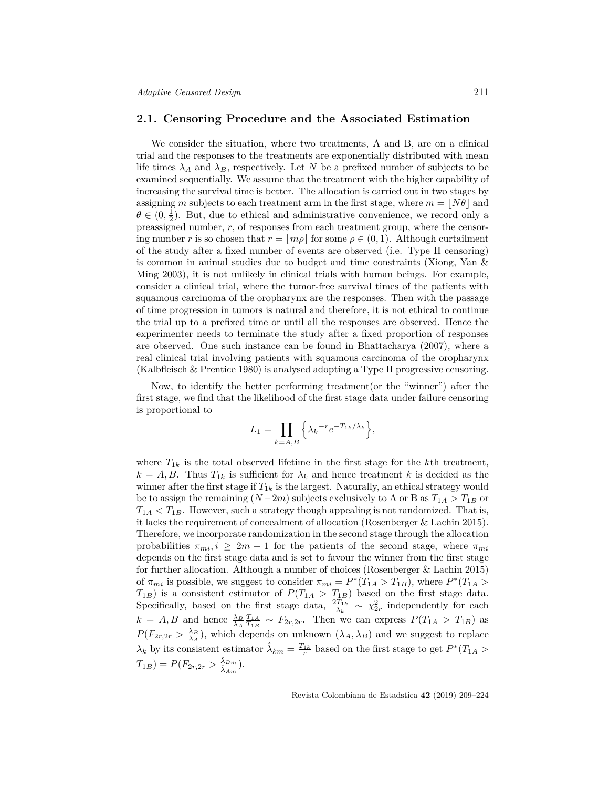#### **2.1. Censoring Procedure and the Associated Estimation**

We consider the situation, where two treatments, A and B, are on a clinical trial and the responses to the treatments are exponentially distributed with mean life times  $\lambda_A$  and  $\lambda_B$ , respectively. Let N be a prefixed number of subjects to be examined sequentially. We assume that the treatment with the higher capability of increasing the survival time is better. The allocation is carried out in two stages by assigning *m* subjects to each treatment arm in the first stage, where  $m = |N\theta|$  and  $\theta \in (0, \frac{1}{2})$ . But, due to ethical and administrative convenience, we record only a preassigned number, *r*, of responses from each treatment group, where the censoring number *r* is so chosen that  $r = |m\rho|$  for some  $\rho \in (0, 1)$ . Although curtailment of the study after a fixed number of events are observed (i.e. Type II censoring) is common in animal studies due to budget and time constraints (Xiong, Yan & Ming 2003), it is not unlikely in clinical trials with human beings. For example, consider a clinical trial, where the tumor-free survival times of the patients with squamous carcinoma of the oropharynx are the responses. Then with the passage of time progression in tumors is natural and therefore, it is not ethical to continue the trial up to a prefixed time or until all the responses are observed. Hence the experimenter needs to terminate the study after a fixed proportion of responses are observed. One such instance can be found in Bhattacharya (2007), where a real clinical trial involving patients with squamous carcinoma of the oropharynx (Kalbfleisch & Prentice 1980) is analysed adopting a Type II progressive censoring.

Now, to identify the better performing treatment(or the "winner") after the first stage, we find that the likelihood of the first stage data under failure censoring is proportional to

$$
L_1 = \prod_{k=A,B} \Big\{ \lambda_k^{-r} e^{-T_{1k}/\lambda_k} \Big\},\,
$$

where  $T_{1k}$  is the total observed lifetime in the first stage for the *k*th treatment,  $k = A, B$ . Thus  $T_{1k}$  is sufficient for  $\lambda_k$  and hence treatment *k* is decided as the winner after the first stage if  $T_{1k}$  is the largest. Naturally, an ethical strategy would be to assign the remaining  $(N-2m)$  subjects exclusively to A or B as  $T_{1A} > T_{1B}$  or  $T_{1A}$   $\lt T_{1B}$ . However, such a strategy though appealing is not randomized. That is, it lacks the requirement of concealment of allocation (Rosenberger & Lachin 2015). Therefore, we incorporate randomization in the second stage through the allocation probabilities  $\pi_{mi}$ ,  $i \geq 2m + 1$  for the patients of the second stage, where  $\pi_{mi}$ depends on the first stage data and is set to favour the winner from the first stage for further allocation. Although a number of choices (Rosenberger & Lachin 2015) of  $\pi_{mi}$  is possible, we suggest to consider  $\pi_{mi} = P^*(T_{1A} > T_{1B})$ , where  $P^*(T_{1A} > T_{1B})$  $T_{1B}$ ) is a consistent estimator of  $P(T_{1A} > T_{1B})$  based on the first stage data. Specifically, based on the first stage data,  $\frac{2T_{1k}}{\lambda_k} \sim \chi^2_{2r}$  independently for each  $k = A, B$  and hence  $\frac{\lambda_B T_{1A}}{T_{1B}} \sim F_{2r,2r}$ . Then we can express  $P(T_{1A} > T_{1B})$  as  $P(F_{2r,2r} > \frac{\lambda_B}{\lambda_A})$ , which depends on unknown  $(\lambda_A, \lambda_B)$  and we suggest to replace  $\lambda_k$  by its consistent estimator  $\hat{\lambda}_{km} = \frac{T_{1k}}{r}$  based on the first stage to get  $P^*(T_{1A} >$  $T_{1B}$ ) =  $P(F_{2r,2r} > \frac{\hat{\lambda}_{Bm}}{\hat{\lambda}_{B}})$  $\frac{\lambda_{Bm}}{\hat{\lambda}_{Am}}).$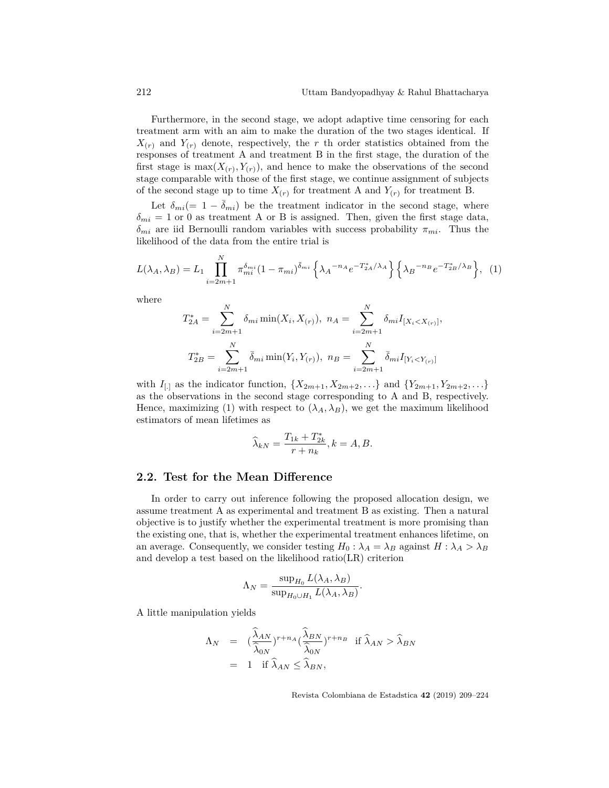Furthermore, in the second stage, we adopt adaptive time censoring for each treatment arm with an aim to make the duration of the two stages identical. If  $X_{(r)}$  and  $Y_{(r)}$  denote, respectively, the *r* th order statistics obtained from the responses of treatment A and treatment B in the first stage, the duration of the first stage is  $\max(X(r), Y(r))$ , and hence to make the observations of the second stage comparable with those of the first stage, we continue assignment of subjects of the second stage up to time  $X_{(r)}$  for treatment A and  $Y_{(r)}$  for treatment B.

Let  $\delta_{mi}$ (= 1 *−*  $\delta_{mi}$ ) be the treatment indicator in the second stage, where  $\delta_{mi} = 1$  or 0 as treatment A or B is assigned. Then, given the first stage data, *δmi* are iid Bernoulli random variables with success probability *πmi*. Thus the likelihood of the data from the entire trial is

$$
L(\lambda_A, \lambda_B) = L_1 \prod_{i=2m+1}^{N} \pi_{mi}^{\delta_{mi}} (1 - \pi_{mi})^{\bar{\delta}_{mi}} \left\{ \lambda_A^{-n_A} e^{-T_{2A}^* / \lambda_A} \right\} \left\{ \lambda_B^{-n_B} e^{-T_{2B}^* / \lambda_B} \right\}, (1)
$$

where

$$
T_{2A}^{*} = \sum_{i=2m+1}^{N} \delta_{mi} \min(X_i, X_{(r)}), \ n_A = \sum_{i=2m+1}^{N} \delta_{mi} I_{[X_i < X_{(r)}]},
$$
\n
$$
T_{2B}^{*} = \sum_{i=2m+1}^{N} \bar{\delta}_{mi} \min(Y_i, Y_{(r)}), \ n_B = \sum_{i=2m+1}^{N} \bar{\delta}_{mi} I_{[Y_i < Y_{(r)}]}
$$

with  $I_{[.]}$  as the indicator function,  $\{X_{2m+1}, X_{2m+2}, \ldots\}$  and  $\{Y_{2m+1}, Y_{2m+2}, \ldots\}$ as the observations in the second stage corresponding to A and B, respectively. Hence, maximizing (1) with respect to  $(\lambda_A, \lambda_B)$ , we get the maximum likelihood estimators of mean lifetimes as

$$
\widehat{\lambda}_{kN} = \frac{T_{1k} + T_{2k}^*}{r + n_k}, k = A, B.
$$

### **2.2. Test for the Mean Difference**

In order to carry out inference following the proposed allocation design, we assume treatment A as experimental and treatment B as existing. Then a natural objective is to justify whether the experimental treatment is more promising than the existing one, that is, whether the experimental treatment enhances lifetime, on an average. Consequently, we consider testing  $H_0: \lambda_A = \lambda_B$  against  $H: \lambda_A > \lambda_B$ and develop a test based on the likelihood ratio(LR) criterion

$$
\Lambda_N = \frac{\sup_{H_0} L(\lambda_A, \lambda_B)}{\sup_{H_0 \cup H_1} L(\lambda_A, \lambda_B)}.
$$

A little manipulation yields

$$
\begin{array}{rcl}\n\Lambda_N & = & \big(\frac{\widehat{\lambda}_{AN}}{\widehat{\lambda}_{ON}}\big)^{r+n_A} \big(\frac{\widehat{\lambda}_{BN}}{\widehat{\lambda}_{ON}}\big)^{r+n_B} & \text{if } \widehat{\lambda}_{AN} > \widehat{\lambda}_{BN} \\
& = & 1 & \text{if } \widehat{\lambda}_{AN} \leq \widehat{\lambda}_{BN},\n\end{array}
$$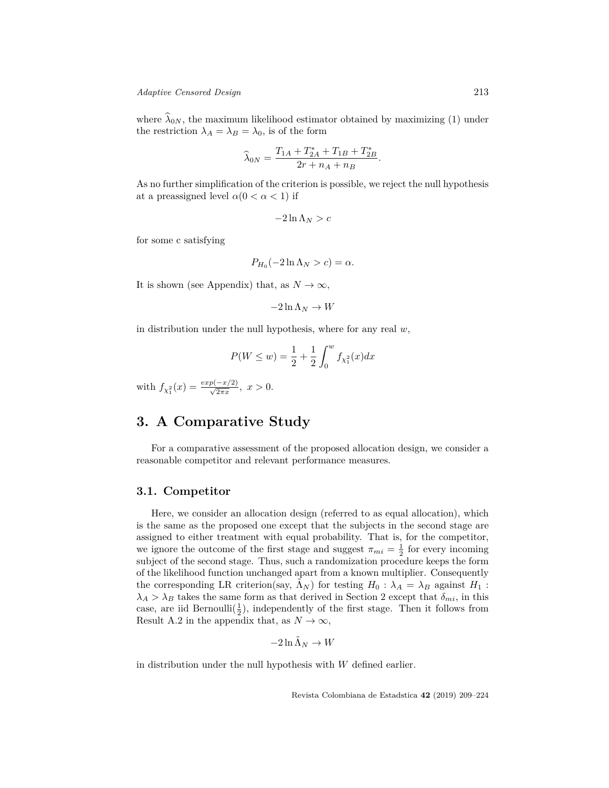where  $\hat{\lambda}_{0N}$ , the maximum likelihood estimator obtained by maximizing (1) under the restriction  $\lambda_A = \lambda_B = \lambda_0$ , is of the form

$$
\widehat{\lambda}_{0N} = \frac{T_{1A} + T_{2A}^* + T_{1B} + T_{2B}^*}{2r + n_A + n_B}.
$$

As no further simplification of the criterion is possible, we reject the null hypothesis at a preassigned level  $\alpha(0 < \alpha < 1)$  if

$$
-2\ln\Lambda_N > c
$$

for some c satisfying

$$
P_{H_0}(-2\ln \Lambda_N > c) = \alpha.
$$

It is shown (see Appendix) that, as  $N \to \infty$ ,

$$
-2\ln\Lambda_N\to W
$$

in distribution under the null hypothesis, where for any real *w*,

$$
P(W \le w) = \frac{1}{2} + \frac{1}{2} \int_0^w f_{\chi_1^2}(x) dx
$$

with  $f_{\chi_1^2}(x) = \frac{exp(-x/2)}{\sqrt{2\pi x}}, x > 0.$ 

### **3. A Comparative Study**

For a comparative assessment of the proposed allocation design, we consider a reasonable competitor and relevant performance measures.

### **3.1. Competitor**

Here, we consider an allocation design (referred to as equal allocation), which is the same as the proposed one except that the subjects in the second stage are assigned to either treatment with equal probability. That is, for the competitor, we ignore the outcome of the first stage and suggest  $\pi_{mi} = \frac{1}{2}$  for every incoming subject of the second stage. Thus, such a randomization procedure keeps the form of the likelihood function unchanged apart from a known multiplier. Consequently the corresponding LR criterion(say,  $\Lambda_N$ ) for testing  $H_0$ :  $\lambda_A = \lambda_B$  against  $H_1$ :  $\lambda_A > \lambda_B$  takes the same form as that derived in Section 2 except that  $\delta_{mi}$ , in this case, are iid Bernoulli $(\frac{1}{2})$ , independently of the first stage. Then it follows from Result A.2 in the appendix that, as  $N \to \infty$ ,

$$
-2\ln\tilde{\Lambda}_N\to W
$$

in distribution under the null hypothesis with *W* defined earlier.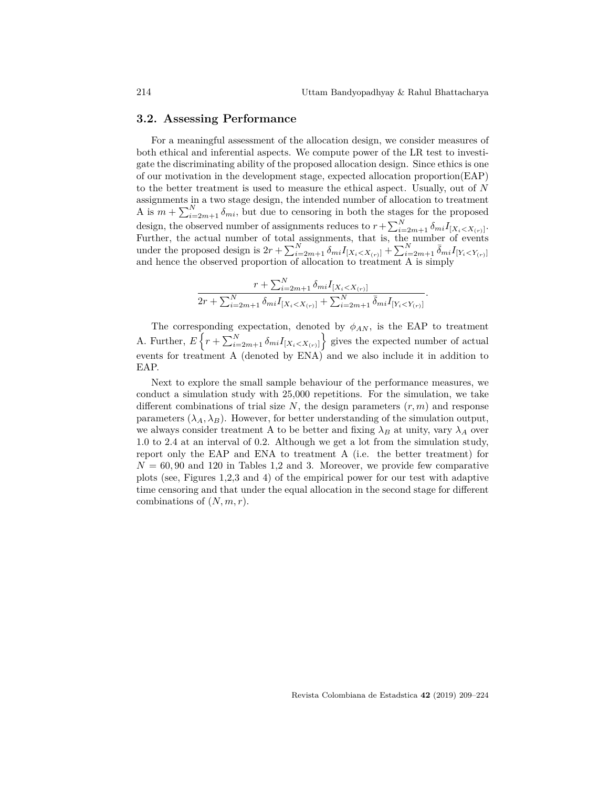#### **3.2. Assessing Performance**

For a meaningful assessment of the allocation design, we consider measures of both ethical and inferential aspects. We compute power of the LR test to investigate the discriminating ability of the proposed allocation design. Since ethics is one of our motivation in the development stage, expected allocation proportion(EAP) to the better treatment is used to measure the ethical aspect. Usually, out of *N* assignments in a two stage design, the intended number of allocation to treatment A is  $m + \sum_{i=2m+1}^{N} \delta_{mi}$ , but due to censoring in both the stages for the proposed design, the observed number of assignments reduces to  $r + \sum_{i=2m+1}^{N} \delta_{mi} I_{[X_i \lt X_{(r)}]}$ . Further, the actual number of total assignments, that is, the number of events under the proposed design is  $2r + \sum_{i=2m+1}^{N} \delta_{mi} I_{[X_i \lt X_{(r)}]} + \sum_{i=2m+1}^{N} \bar{\delta}_{mi} I_{[Y_i \lt Y_{(r)}]}$ and hence the observed proportion of allocation to treatment A is simply

$$
\frac{r + \sum_{i=2m+1}^{N} \delta_{mi} I_{[X_i < X_{(r)}]} }{2r + \sum_{i=2m+1}^{N} \delta_{mi} I_{[X_i < X_{(r)}]} + \sum_{i=2m+1}^{N} \bar{\delta}_{mi} I_{[Y_i < Y_{(r)}]}}.
$$

The corresponding expectation, denoted by  $\phi_{AN}$ , is the EAP to treatment A. Further,  $E\left\{r + \sum_{i=2m+1}^{N} \delta_{mi} I_{[X_i < X_{(r)}]} \right\}$  gives the expected number of actual events for treatment A (denoted by ENA) and we also include it in addition to EAP.

Next to explore the small sample behaviour of the performance measures, we conduct a simulation study with 25,000 repetitions. For the simulation, we take different combinations of trial size  $N$ , the design parameters  $(r, m)$  and response parameters  $(\lambda_A, \lambda_B)$ . However, for better understanding of the simulation output, we always consider treatment A to be better and fixing  $\lambda_B$  at unity, vary  $\lambda_A$  over 1.0 to 2.4 at an interval of 0.2. Although we get a lot from the simulation study, report only the EAP and ENA to treatment A (i.e. the better treatment) for  $N = 60,90$  and 120 in Tables 1,2 and 3. Moreover, we provide few comparative plots (see, Figures 1,2,3 and 4) of the empirical power for our test with adaptive time censoring and that under the equal allocation in the second stage for different combinations of (*N, m, r*).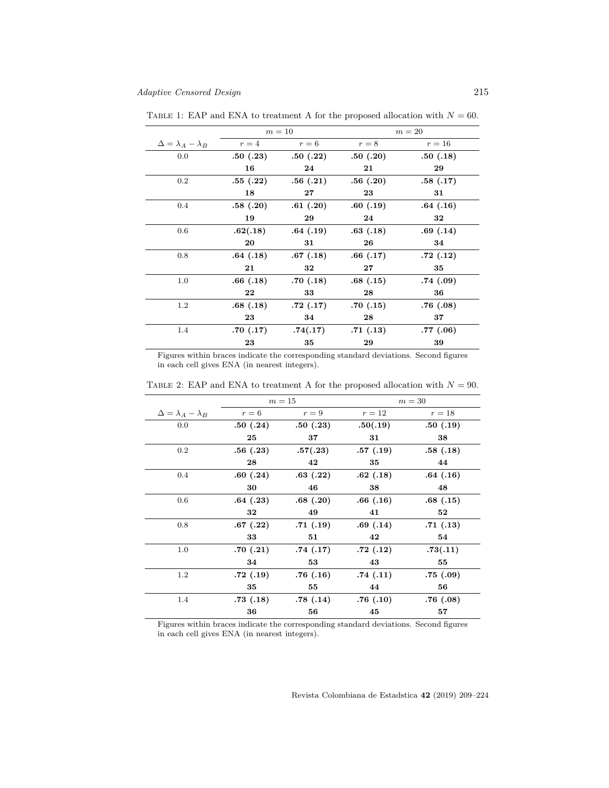|                                  | $m=10$   |          | $m=20$   |           |
|----------------------------------|----------|----------|----------|-----------|
| $\Delta = \lambda_A - \lambda_B$ | $r=4$    | $r=6$    | $r = 8$  | $r=16$    |
| 0.0                              | .50(.23) | .50(.22) | .50(.20) | .50(.18)  |
|                                  | 16       | 24       | 21       | 29        |
| 0.2                              | .55(.22) | .56(.21) | .56(.20) | .58(.17)  |
|                                  | 18       | $27\,$   | 23       | 31        |
| $0.4\,$                          | .58(.20) | .61(.20) | .60(.19) | .64(.16)  |
|                                  | 19       | 29       | 24       | 32        |
| 0.6                              | .62(.18) | .64(.19) | .63(.18) | .69(.14)  |
|                                  | 20       | 31       | 26       | 34        |
| 0.8                              | .64(.18) | .67(.18) | .66(.17) | .72(.12)  |
|                                  | 21       | 32       | $27\,$   | 35        |
| 1.0                              | .66(.18) | .70(.18) | .68(.15) | .74(.09)  |
|                                  | 22       | 33       | 28       | 36        |
| $1.2\,$                          | .68(.18) | .72(.17) | .70(.15) | .76(.08)  |
|                                  | 23       | 34       | 28       | 37        |
| 1.4                              | .70(.17) | .74(.17) | .71(.13) | .77(0.06) |
|                                  | 23       | 35       | 29       | 39        |

TABLE 1: EAP and ENA to treatment A for the proposed allocation with  $N = 60$ .

Figures within braces indicate the corresponding standard deviations. Second figures in each cell gives ENA (in nearest integers).

|                                  | $m=15$   |          | $m=30$   |          |
|----------------------------------|----------|----------|----------|----------|
| $\Delta = \lambda_A - \lambda_B$ | $r=6$    | $r=9$    | $r=12$   | $r=18$   |
| 0.0                              | .50(.24) | .50(.23) | .50(.19) | .50(.19) |
|                                  | 25       | 37       | 31       | 38       |
| $0.2\,$                          | .56(.23) | .57(.23) | .57(.19) | .58(.18) |
|                                  | 28       | 42       | 35       | 44       |
| $0.4\,$                          | .60(.24) | .63(.22) | .62(.18) | .64(.16) |
|                                  | 30       | 46       | 38       | 48       |
| 0.6                              | .64(.23) | .68(.20) | .66(.16) | .68(.15) |
|                                  | 32       | 49       | 41       | 52       |
| 0.8                              | .67(.22) | .71(.19) | .69(.14) | .71(.13) |
|                                  | 33       | 51       | 42       | 54       |
| 1.0                              | .70(.21) | .74(.17) | .72(.12) | .73(.11) |
|                                  | 34       | 53       | 43       | 55       |
| $1.2\,$                          | .72(.19) | .76(.16) | .74(.11) | .75(.09) |
|                                  | 35       | 55       | 44       | 56       |
| 1.4                              | .73(.18) | .78(.14) | .76(.10) | .76(.08) |
|                                  | 36       | 56       | 45       | 57       |

TABLE 2: EAP and ENA to treatment A for the proposed allocation with  $N = 90$ .

Figures within braces indicate the corresponding standard deviations. Second figures in each cell gives ENA (in nearest integers).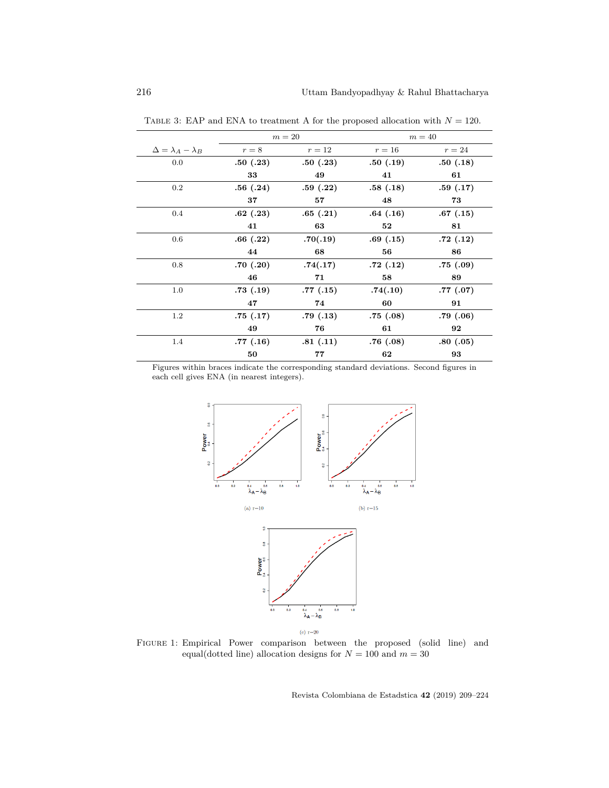|                                  | $m=20$   |          | $m=40$   |          |
|----------------------------------|----------|----------|----------|----------|
| $\Delta = \lambda_A - \lambda_B$ | $r = 8$  | $r=12$   | $r=16$   | $r=24$   |
| 0.0                              | .50(.23) | .50(.23) | .50(.19) | .50(.18) |
|                                  | 33       | 49       | 41       | 61       |
| 0.2                              | .56(.24) | .59(.22) | .58(.18) | .59(.17) |
|                                  | 37       | 57       | 48       | 73       |
| 0.4                              | .62(.23) | .65(.21) | .64(.16) | .67(.15) |
|                                  | 41       | 63       | 52       | 81       |
| 0.6                              | .66(.22) | .70(.19) | .69(.15) | .72(.12) |
|                                  | 44       | 68       | 56       | 86       |
| 0.8                              | .70(.20) | .74(.17) | .72(.12) | .75(.09) |
|                                  | 46       | 71       | 58       | 89       |
| 1.0                              | .73(.19) | .77(.15) | .74(.10) | .77(.07) |
|                                  | 47       | 74       | 60       | 91       |
| 1.2                              | .75(.17) | .79(.13) | .75(.08) | .79(.06) |
|                                  | 49       | 76       | 61       | 92       |
| 1.4                              | .77(.16) | .81(.11) | .76(.08) | .80(.05) |
|                                  | 50       | 77       | 62       | 93       |

TABLE 3: EAP and ENA to treatment A for the proposed allocation with  $N = 120$ .

Figures within braces indicate the corresponding standard deviations. Second figures in each cell gives ENA (in nearest integers).



Figure 1: Empirical Power comparison between the proposed (solid line) and equal(dotted line) allocation designs for  $N = 100$  and  $m = 30$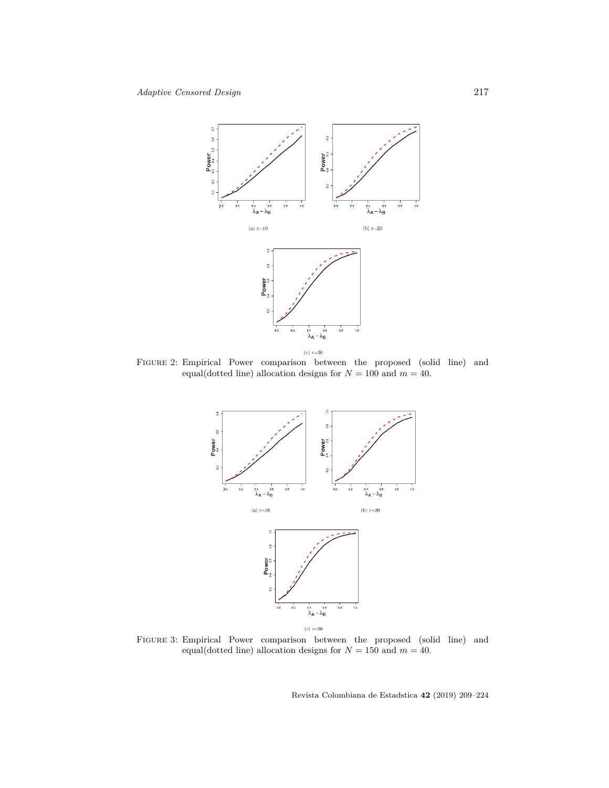

Figure 2: Empirical Power comparison between the proposed (solid line) and equal(dotted line) allocation designs for  $N = 100$  and  $m = 40$ .



Figure 3: Empirical Power comparison between the proposed (solid line) and equal(dotted line) allocation designs for  $N = 150$  and  $m = 40$ .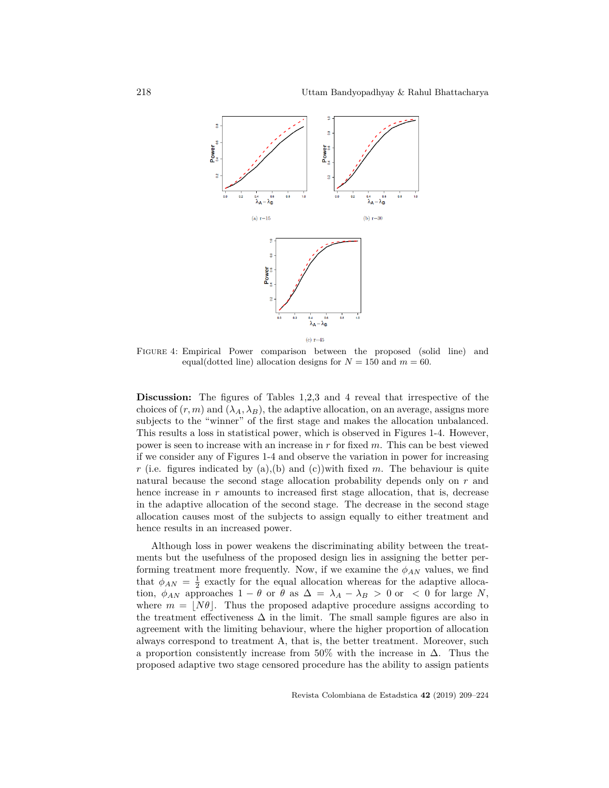

Figure 4: Empirical Power comparison between the proposed (solid line) and equal(dotted line) allocation designs for  $N = 150$  and  $m = 60$ .

**Discussion:** The figures of Tables 1,2,3 and 4 reveal that irrespective of the choices of  $(r, m)$  and  $(\lambda_A, \lambda_B)$ , the adaptive allocation, on an average, assigns more subjects to the "winner" of the first stage and makes the allocation unbalanced. This results a loss in statistical power, which is observed in Figures 1-4. However, power is seen to increase with an increase in *r* for fixed *m*. This can be best viewed if we consider any of Figures 1-4 and observe the variation in power for increasing *r* (i.e. figures indicated by (a),(b) and (c))with fixed *m*. The behaviour is quite natural because the second stage allocation probability depends only on *r* and hence increase in *r* amounts to increased first stage allocation, that is, decrease in the adaptive allocation of the second stage. The decrease in the second stage allocation causes most of the subjects to assign equally to either treatment and hence results in an increased power.

Although loss in power weakens the discriminating ability between the treatments but the usefulness of the proposed design lies in assigning the better performing treatment more frequently. Now, if we examine the  $\phi_{AN}$  values, we find that  $\phi_{AN} = \frac{1}{2}$  exactly for the equal allocation whereas for the adaptive allocation,  $\phi_{AN}$  approaches  $1 - \theta$  or  $\theta$  as  $\Delta = \lambda_A - \lambda_B > 0$  or  $\langle 0 \rangle$  for large *N*, where  $m = \lfloor N\theta \rfloor$ . Thus the proposed adaptive procedure assigns according to the treatment effectiveness  $\Delta$  in the limit. The small sample figures are also in agreement with the limiting behaviour, where the higher proportion of allocation always correspond to treatment A, that is, the better treatment. Moreover, such a proportion consistently increase from 50% with the increase in  $\Delta$ . Thus the proposed adaptive two stage censored procedure has the ability to assign patients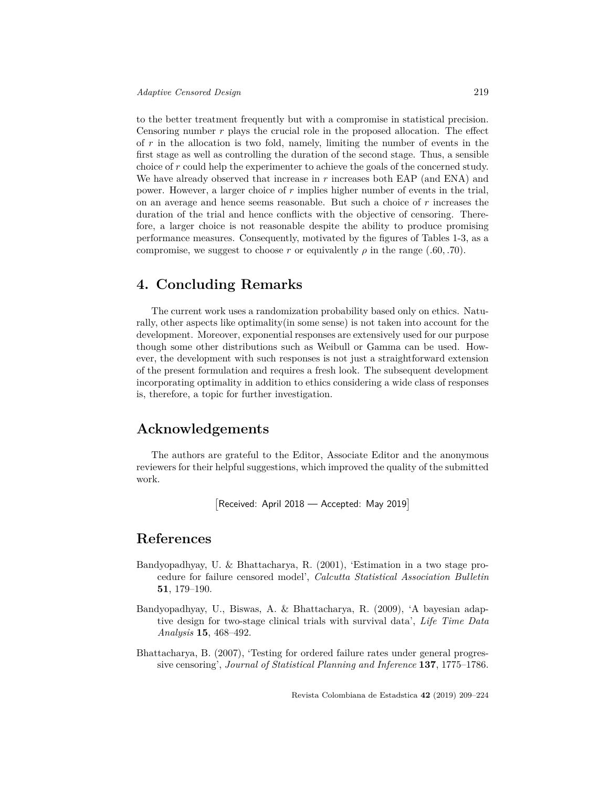to the better treatment frequently but with a compromise in statistical precision. Censoring number *r* plays the crucial role in the proposed allocation. The effect of *r* in the allocation is two fold, namely, limiting the number of events in the first stage as well as controlling the duration of the second stage. Thus, a sensible choice of *r* could help the experimenter to achieve the goals of the concerned study. We have already observed that increase in *r* increases both EAP (and ENA) and power. However, a larger choice of *r* implies higher number of events in the trial, on an average and hence seems reasonable. But such a choice of *r* increases the duration of the trial and hence conflicts with the objective of censoring. Therefore, a larger choice is not reasonable despite the ability to produce promising performance measures. Consequently, motivated by the figures of Tables 1-3, as a compromise, we suggest to choose *r* or equivalently  $\rho$  in the range (*.60, .70*).

### **4. Concluding Remarks**

The current work uses a randomization probability based only on ethics. Naturally, other aspects like optimality(in some sense) is not taken into account for the development. Moreover, exponential responses are extensively used for our purpose though some other distributions such as Weibull or Gamma can be used. However, the development with such responses is not just a straightforward extension of the present formulation and requires a fresh look. The subsequent development incorporating optimality in addition to ethics considering a wide class of responses is, therefore, a topic for further investigation.

### **Acknowledgements**

The authors are grateful to the Editor, Associate Editor and the anonymous reviewers for their helpful suggestions, which improved the quality of the submitted work.

```
[
Received: April 2018 — Accepted: May 2019]
```
### **References**

- Bandyopadhyay, U. & Bhattacharya, R. (2001), 'Estimation in a two stage procedure for failure censored model', *Calcutta Statistical Association Bulletin* **51**, 179–190.
- Bandyopadhyay, U., Biswas, A. & Bhattacharya, R. (2009), 'A bayesian adaptive design for two-stage clinical trials with survival data', *Life Time Data Analysis* **15**, 468–492.
- Bhattacharya, B. (2007), 'Testing for ordered failure rates under general progressive censoring', *Journal of Statistical Planning and Inference* **137**, 1775–1786.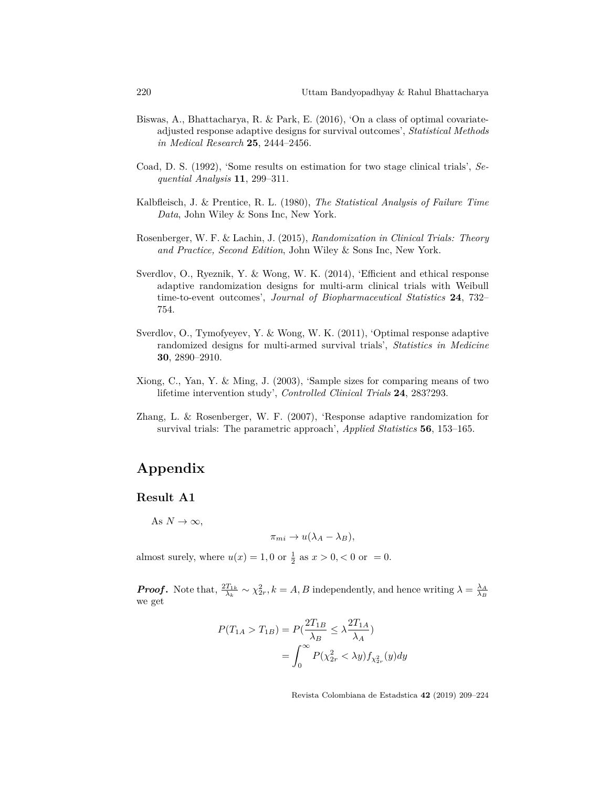- Biswas, A., Bhattacharya, R. & Park, E. (2016), 'On a class of optimal covariateadjusted response adaptive designs for survival outcomes', *Statistical Methods in Medical Research* **25**, 2444–2456.
- Coad, D. S. (1992), 'Some results on estimation for two stage clinical trials', *Sequential Analysis* **11**, 299–311.
- Kalbfleisch, J. & Prentice, R. L. (1980), *The Statistical Analysis of Failure Time Data*, John Wiley & Sons Inc, New York.
- Rosenberger, W. F. & Lachin, J. (2015), *Randomization in Clinical Trials: Theory and Practice, Second Edition*, John Wiley & Sons Inc, New York.
- Sverdlov, O., Ryeznik, Y. & Wong, W. K. (2014), 'Efficient and ethical response adaptive randomization designs for multi-arm clinical trials with Weibull time-to-event outcomes', *Journal of Biopharmaceutical Statistics* **24**, 732– 754.
- Sverdlov, O., Tymofyeyev, Y. & Wong, W. K. (2011), 'Optimal response adaptive randomized designs for multi-armed survival trials', *Statistics in Medicine* **30**, 2890–2910.
- Xiong, C., Yan, Y. & Ming, J. (2003), 'Sample sizes for comparing means of two lifetime intervention study', *Controlled Clinical Trials* **24**, 283?293.
- Zhang, L. & Rosenberger, W. F. (2007), 'Response adaptive randomization for survival trials: The parametric approach', *Applied Statistics* **56**, 153–165.

## **Appendix**

### **Result A1**

As  $N \to \infty$ ,

$$
\pi_{mi} \to u(\lambda_A - \lambda_B),
$$

almost surely, where  $u(x) = 1, 0$  or  $\frac{1}{2}$  as  $x > 0, < 0$  or = 0.

*Proof.* Note that,  $\frac{2T_{1k}}{\lambda_k} \sim \chi^2_{2r}$ ,  $k = A, B$  independently, and hence writing  $\lambda = \frac{\lambda_A}{\lambda_B}$ we get

$$
P(T_{1A} > T_{1B}) = P(\frac{2T_{1B}}{\lambda_B} \le \lambda \frac{2T_{1A}}{\lambda_A})
$$
  
= 
$$
\int_0^\infty P(\chi_{2r}^2 < \lambda y) f_{\chi_{2r}^2}(y) dy
$$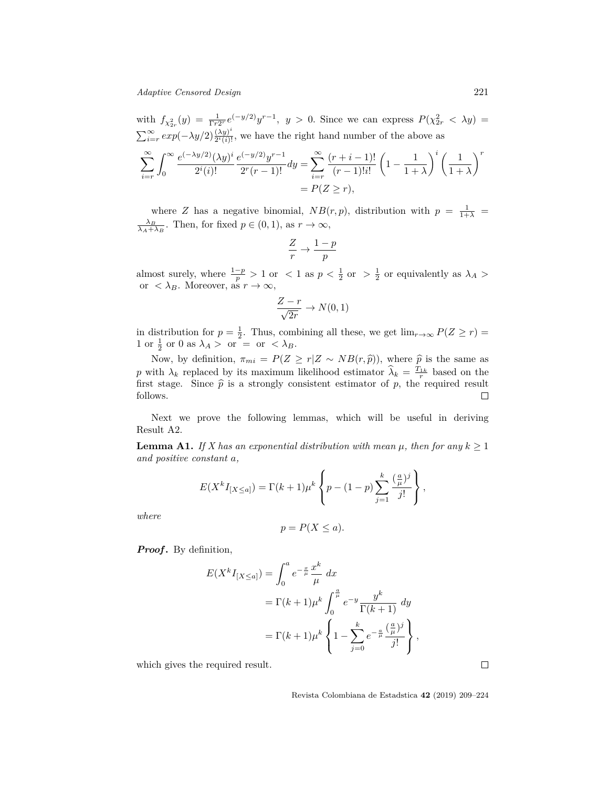with  $f_{\chi^2_{2r}}(y) = \frac{1}{\Gamma r 2^r} e^{(-y/2)} y^{r-1}$ ,  $y > 0$ . Since we can express  $P(\chi^2_{2r} < \lambda y) =$  $\sum_{i=r}^{\infty} exp(-\lambda y/2) \frac{(\lambda y)^i}{2^i(i)!}$  $\frac{(xy)}{2^i(i)!}$ , we have the right hand number of the above as ∑*<sup>∞</sup> i*=*r* ∫ *∞* 0  $e^{(-\lambda y/2)}(\lambda y)^i$  $2^i(i)!$ *e* (*−y/*2)*y r−*1  $\frac{2r(r-1)!}{2r(r-1)!}dy = \sum_{r=0}^{\infty}$ *i*=*r*  $(r + i - 1)!$ (*r −* 1)!*i*!  $\sqrt{2}$  $1 - \frac{1}{1}$  $1 + \lambda$  $\lambda^i$  ( 1  $1 + \lambda$ )*r*  $= P(Z \geq r),$ 

where *Z* has a negative binomial,  $NB(r, p)$ , distribution with  $p = \frac{1}{1+\lambda}$  $\frac{\lambda_B}{\lambda_A + \lambda_B}$ . Then, for fixed  $p \in (0, 1)$ , as  $r \to \infty$ ,

$$
\frac{Z}{r}\to\frac{1-p}{p}
$$

almost surely, where  $\frac{1-p}{p} > 1$  or  $\lt 1$  as  $p < \frac{1}{2}$  or  $\gt \frac{1}{2}$  or equivalently as  $\lambda_A >$ or  $\langle \lambda_B$ . Moreover, as  $r \to \infty$ ,

$$
\frac{Z-r}{\sqrt{2r}} \to N(0,1)
$$

in distribution for  $p = \frac{1}{2}$ . Thus, combining all these, we get  $\lim_{r \to \infty} P(Z \ge r)$ 1 or  $\frac{1}{2}$  or 0 as  $\lambda_A > 0$  or = or  $\langle \lambda_B$ .

Now, by definition,  $\pi_{mi} = P(Z \ge r | Z \sim NB(r, \hat{p}))$ , where  $\hat{p}$  is the same as *p* with  $\lambda_k$  replaced by its maximum likelihood estimator  $\hat{\lambda}_k = \frac{T_{1k}}{r}$  based on the first stage. Since  $\hat{p}$  is a strongly consistent estimator of *p*, the required result follows. follows.

Next we prove the following lemmas, which will be useful in deriving Result A2.

**Lemma A1.** *If* X has an exponential distribution with mean  $\mu$ , then for any  $k \geq 1$ *and positive constant a,*

$$
E(X^{k}I_{[X\leq a]}) = \Gamma(k+1)\mu^{k} \left\{ p - (1-p) \sum_{j=1}^{k} \frac{\left(\frac{a}{\mu}\right)^{j}}{j!} \right\},\,
$$

*where*

$$
p = P(X \le a).
$$

*Proof.* By definition,

$$
E(X^{k}I_{[X\leq a]}) = \int_{0}^{a} e^{-\frac{x}{\mu}} \frac{x^{k}}{\mu} dx
$$
  

$$
= \Gamma(k+1)\mu^{k} \int_{0}^{\frac{a}{\mu}} e^{-y} \frac{y^{k}}{\Gamma(k+1)} dy
$$
  

$$
= \Gamma(k+1)\mu^{k} \left\{ 1 - \sum_{j=0}^{k} e^{-\frac{a}{\mu}} \frac{(\frac{a}{\mu})^{j}}{j!} \right\},
$$

which gives the required result.

Revista Colombiana de Estadstica **42** (2019) 209–224

 $\Box$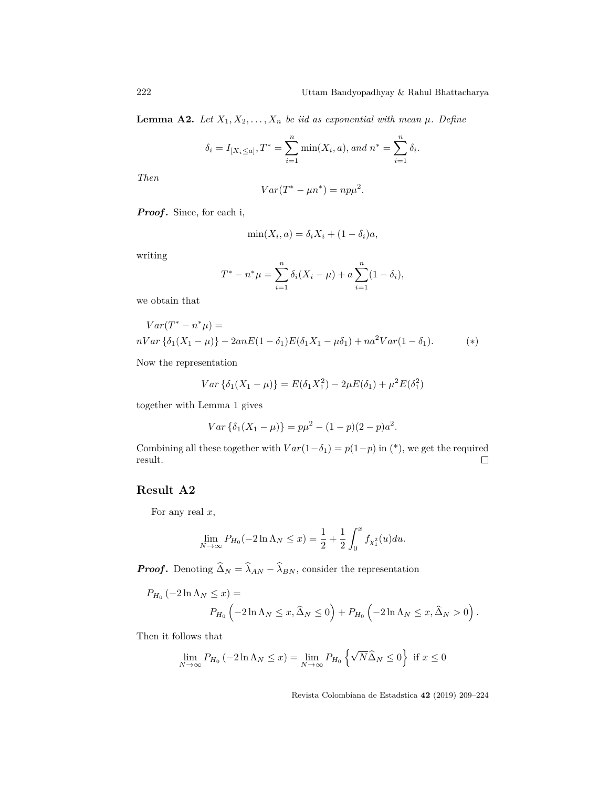**Lemma A2.** Let  $X_1, X_2, \ldots, X_n$  be iid as exponential with mean  $\mu$ . Define

$$
\delta_i = I_{[X_i \leq a]}, T^* = \sum_{i=1}^n \min(X_i, a), and n^* = \sum_{i=1}^n \delta_i.
$$

*Then*

$$
Var(T^* - \mu n^*) = np\mu^2.
$$

*Proof.* Since, for each i,

$$
\min(X_i, a) = \delta_i X_i + (1 - \delta_i)a,
$$

writing

$$
T^* - n^* \mu = \sum_{i=1}^n \delta_i (X_i - \mu) + a \sum_{i=1}^n (1 - \delta_i),
$$

we obtain that

$$
Var(T^* - n^*\mu) =
$$
  

$$
nVar{\delta_1(X_1 - \mu)} - 2anE(1 - \delta_1)E(\delta_1X_1 - \mu\delta_1) + na^2Var(1 - \delta_1).
$$
 (\*)

Now the representation

$$
Var\{\delta_1(X_1 - \mu)\} = E(\delta_1 X_1^2) - 2\mu E(\delta_1) + \mu^2 E(\delta_1^2)
$$

together with Lemma 1 gives

$$
Var\{\delta_1(X_1-\mu)\} = p\mu^2 - (1-p)(2-p)a^2.
$$

Combining all these together with  $Var(1-\delta_1) = p(1-p)$  in (\*), we get the required result.  $\Box$ 

### **Result A2**

For any real *x*,

$$
\lim_{N \to \infty} P_{H_0}(-2 \ln \Lambda_N \le x) = \frac{1}{2} + \frac{1}{2} \int_0^x f_{\chi_1^2}(u) du.
$$

*Proof*. Denoting  $\hat{\Delta}_N = \hat{\lambda}_{AN} - \hat{\lambda}_{BN}$ , consider the representation

$$
P_{H_0}(-2\ln\Lambda_N \le x) =
$$
  
 
$$
P_{H_0}\left(-2\ln\Lambda_N \le x, \widehat{\Delta}_N \le 0\right) + P_{H_0}\left(-2\ln\Lambda_N \le x, \widehat{\Delta}_N > 0\right).
$$

Then it follows that

$$
\lim_{N \to \infty} P_{H_0}(-2 \ln \Lambda_N \le x) = \lim_{N \to \infty} P_{H_0} \left\{ \sqrt{N} \widehat{\Delta}_N \le 0 \right\} \text{ if } x \le 0
$$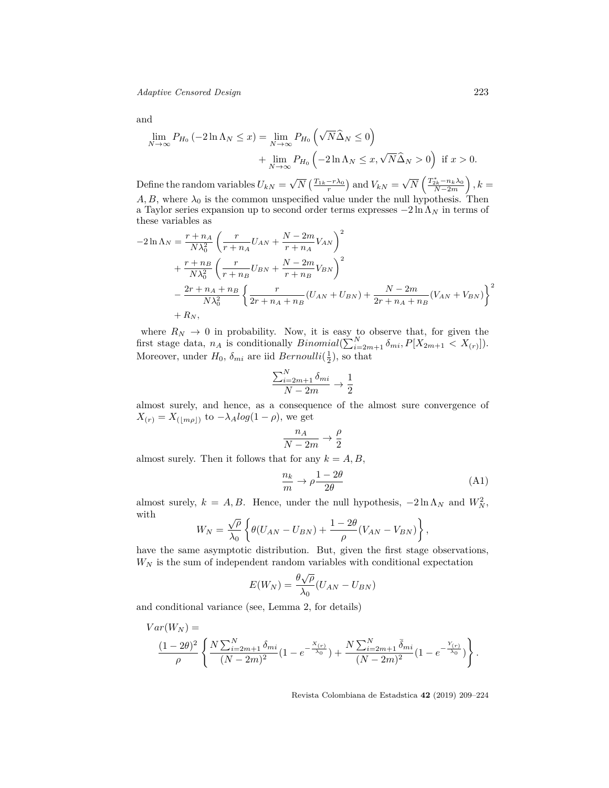*Adaptive Censored Design* 223

$$
\quad\text{and}\quad
$$

$$
\lim_{N \to \infty} P_{H_0}(-2\ln \Lambda_N \le x) = \lim_{N \to \infty} P_{H_0}(\sqrt{N}\widehat{\Delta}_N \le 0)
$$
  
+ 
$$
\lim_{N \to \infty} P_{H_0}(-2\ln \Lambda_N \le x, \sqrt{N}\widehat{\Delta}_N > 0) \text{ if } x > 0.
$$

Define the random variables  $U_{kN} =$ *√*  $\overline{N}$  ( $\frac{T_{1k} - r\lambda_0}{r}$ ) and  $V_{kN}$  = *√*  $\overline{N}$   $\left( \frac{T_{2k}^* - n_k \lambda_0}{N - 2m} \right)$ *N−*2*m*  $\big), k =$  $A, B$ , where  $\lambda_0$  is the common unspecified value under the null hypothesis. Then a Taylor series expansion up to second order terms expresses *−*2 ln Λ*<sup>N</sup>* in terms of these variables as

$$
-2\ln \Lambda_N = \frac{r + n_A}{N\lambda_0^2} \left( \frac{r}{r + n_A} U_{AN} + \frac{N - 2m}{r + n_A} V_{AN} \right)^2 + \frac{r + n_B}{N\lambda_0^2} \left( \frac{r}{r + n_B} U_{BN} + \frac{N - 2m}{r + n_B} V_{BN} \right)^2 - \frac{2r + n_A + n_B}{N\lambda_0^2} \left\{ \frac{r}{2r + n_A + n_B} (U_{AN} + U_{BN}) + \frac{N - 2m}{2r + n_A + n_B} (V_{AN} + V_{BN}) \right\}^2 + R_N,
$$

where  $R_N \to 0$  in probability. Now, it is easy to observe that, for given the first stage data,  $n_A$  is conditionally  $Binomial(\sum_{i=2m+1}^{N} \delta_{mi}, P[X_{2m+1} < X_{(r)}]).$ Moreover, under  $H_0$ ,  $\delta_{mi}$  are iid  $Bernoulli(\frac{1}{2})$ , so that

$$
\frac{\sum_{i=2m+1}^{N} \delta_{mi}}{N-2m} \to \frac{1}{2}
$$

almost surely, and hence, as a consequence of the almost sure convergence of  $X_{(r)} = X_{(|m\rho|)}$  to  $-\lambda_A log(1-\rho)$ , we get

$$
\frac{n_A}{N-2m} \to \frac{\rho}{2}
$$

almost surely. Then it follows that for any  $k = A, B$ ,

$$
\frac{n_k}{m} \to \rho \frac{1 - 2\theta}{2\theta} \tag{A1}
$$

almost surely,  $k = A, B$ . Hence, under the null hypothesis,  $-2 \ln \Lambda_N$  and  $W_N^2$ , with

$$
W_N = \frac{\sqrt{\rho}}{\lambda_0} \left\{ \theta(U_{AN} - U_{BN}) + \frac{1 - 2\theta}{\rho}(V_{AN} - V_{BN}) \right\},\,
$$

have the same asymptotic distribution. But, given the first stage observations,  $W_N$  is the sum of independent random variables with conditional expectation

$$
E(W_N) = \frac{\theta \sqrt{\rho}}{\lambda_0} (U_{AN} - U_{BN})
$$

and conditional variance (see, Lemma 2, for details)

$$
Var(W_N) = \frac{(1-2\theta)^2}{\rho} \left\{ \frac{N \sum_{i=2m+1}^{N} \delta_{mi}}{(N-2m)^2} (1 - e^{-\frac{X_{(r)}}{\lambda_0}}) + \frac{N \sum_{i=2m+1}^{N} \bar{\delta}_{mi}}{(N-2m)^2} (1 - e^{-\frac{Y_{(r)}}{\lambda_0}}) \right\}.
$$